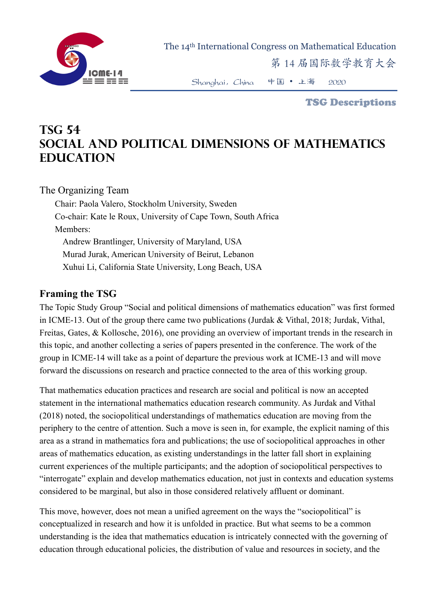

The 14th International Congress on Mathematical Education

第 14 届国际数学教育大会

Shanghai,China 中国 • 上海 2020

TSG Descriptions

# **TSG 54 Social and political dimensions of mathematics education**

The Organizing Team

Chair: Paola Valero, Stockholm University, Sweden Co-chair: Kate le Roux, University of Cape Town, South Africa Members: Andrew Brantlinger, University of Maryland, USA Murad Jurak, American University of Beirut, Lebanon Xuhui Li, California State University, Long Beach, USA

#### **Framing the TSG**

The Topic Study Group "Social and political dimensions of mathematics education" was first formed in ICME-13. Out of the group there came two publications (Jurdak & Vithal, 2018; Jurdak, Vithal, Freitas, Gates, & Kollosche, 2016), one providing an overview of important trends in the research in this topic, and another collecting a series of papers presented in the conference. The work of the group in ICME-14 will take as a point of departure the previous work at ICME-13 and will move forward the discussions on research and practice connected to the area of this working group.

That mathematics education practices and research are social and political is now an accepted statement in the international mathematics education research community. As Jurdak and Vithal (2018) noted, the sociopolitical understandings of mathematics education are moving from the periphery to the centre of attention. Such a move is seen in, for example, the explicit naming of this area as a strand in mathematics fora and publications; the use of sociopolitical approaches in other areas of mathematics education, as existing understandings in the latter fall short in explaining current experiences of the multiple participants; and the adoption of sociopolitical perspectives to "interrogate" explain and develop mathematics education, not just in contexts and education systems considered to be marginal, but also in those considered relatively affluent or dominant.

This move, however, does not mean a unified agreement on the ways the "sociopolitical" is conceptualized in research and how it is unfolded in practice. But what seems to be a common understanding is the idea that mathematics education is intricately connected with the governing of education through educational policies, the distribution of value and resources in society, and the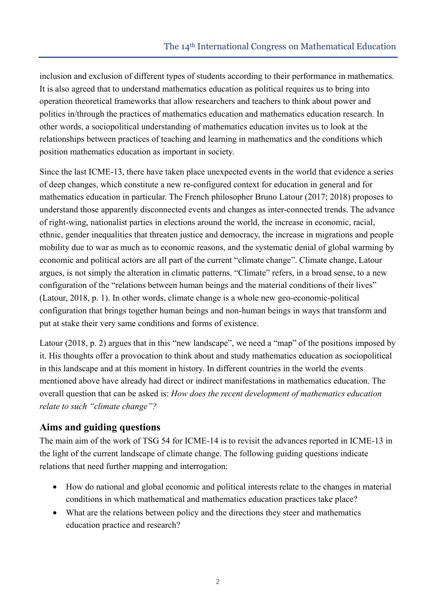inclusion and exclusion of different types of students according to their performance in mathematics. It is also agreed that to understand mathematics education as political requires us to bring into operation theoretical frameworks that allow researchers and teachers to think about power and politics in/through the practices of mathematics education and mathematics education research. In other words, a sociopolitical understanding of mathematics education invites us to look at the relationships between practices of teaching and learning in mathematics and the conditions which position mathematics education as important in society.

Since the last ICME-13, there have taken place unexpected events in the world that evidence a series of deep changes, which constitute a new re-configured context for education in general and for mathematics education in particular. The French philosopher Bruno Latour (2017; 2018) proposes to understand those apparently disconnected events and changes as inter-connected trends. The advance of right-wing, nationalist parties in elections around the world, the increase in economic, racial, ethnic, gender inequalities that threaten justice and democracy, the increase in migrations and people mobility due to war as much as to economic reasons, and the systematic denial of global warming by economic and political actors are all part of the current "climate change". Climate change, Latour argues, is not simply the alteration in climatic patterns. "Climate" refers, in a broad sense, to a new configuration of the "relations between human beings and the material conditions of their lives" (Latour, 2018, p. 1). In other words, climate change is a whole new geo-economic-political configuration that brings together human beings and non-human beings in ways that transform and put at stake their very same conditions and forms of existence.

Latour (2018, p. 2) argues that in this "new landscape", we need a "map" of the positions imposed by it. His thoughts offer a provocation to think about and study mathematics education as sociopolitical in this landscape and at this moment in history. In different countries in the world the events mentioned above have already had direct or indirect manifestations in mathematics education. The overall question that can be asked is: *How does the recent development of mathematics education relate to such "climate change"?* 

### **Aims and guiding questions**

The main aim of the work of TSG 54 for ICME-14 is to revisit the advances reported in ICME-13 in the light of the current landscape of climate change. The following guiding questions indicate relations that need further mapping and interrogation:

- How do national and global economic and political interests relate to the changes in material conditions in which mathematical and mathematics education practices take place?
- What are the relations between policy and the directions they steer and mathematics education practice and research?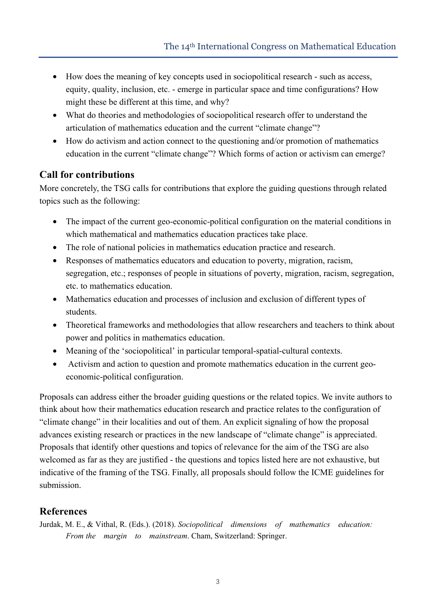- How does the meaning of key concepts used in sociopolitical research such as access, equity, quality, inclusion, etc. - emerge in particular space and time configurations? How might these be different at this time, and why?
- What do theories and methodologies of sociopolitical research offer to understand the articulation of mathematics education and the current "climate change"?
- How do activism and action connect to the questioning and/or promotion of mathematics education in the current "climate change"? Which forms of action or activism can emerge?

## **Call for contributions**

More concretely, the TSG calls for contributions that explore the guiding questions through related topics such as the following:

- The impact of the current geo-economic-political configuration on the material conditions in which mathematical and mathematics education practices take place.
- The role of national policies in mathematics education practice and research.
- Responses of mathematics educators and education to poverty, migration, racism, segregation, etc.; responses of people in situations of poverty, migration, racism, segregation, etc. to mathematics education.
- Mathematics education and processes of inclusion and exclusion of different types of students.
- Theoretical frameworks and methodologies that allow researchers and teachers to think about power and politics in mathematics education.
- Meaning of the 'sociopolitical' in particular temporal-spatial-cultural contexts.
- Activism and action to question and promote mathematics education in the current geoeconomic-political configuration.

Proposals can address either the broader guiding questions or the related topics. We invite authors to think about how their mathematics education research and practice relates to the configuration of "climate change" in their localities and out of them. An explicit signaling of how the proposal advances existing research or practices in the new landscape of "climate change" is appreciated. Proposals that identify other questions and topics of relevance for the aim of the TSG are also welcomed as far as they are justified - the questions and topics listed here are not exhaustive, but indicative of the framing of the TSG. Finally, all proposals should follow the ICME guidelines for submission.

#### **References**

Jurdak, M. E., & Vithal, R. (Eds.). (2018). *Sociopolitical dimensions of mathematics education: From the margin to mainstream*. Cham, Switzerland: Springer.